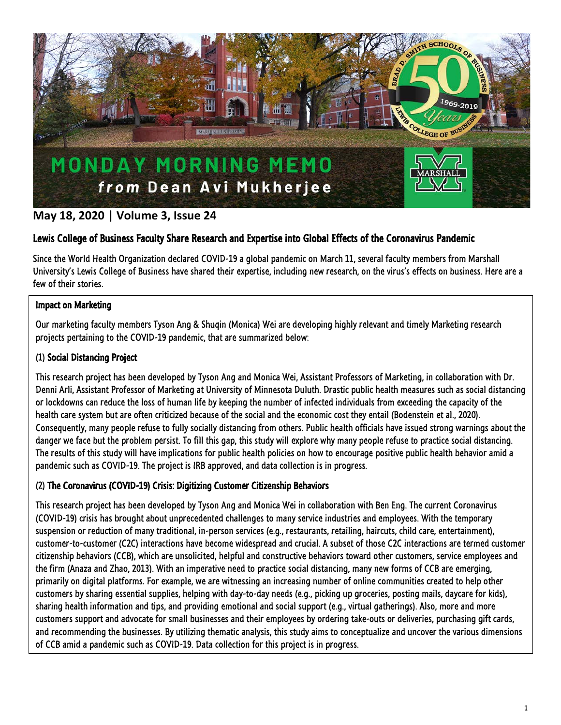

# **May 18, 2020 | Volume 3, Issue 24**

# Lewis College of Business Faculty Share Research and Expertise into Global Effects of the Coronavirus Pandemic

Since the World Health Organization declared COVID-19 a global pandemic on March 11, several faculty members from Marshall University's Lewis College of Business have shared their expertise, including new research, on the virus's effects on business. Here are a few of their stories.

## Impact on Marketing

Our marketing faculty members Tyson Ang & Shuqin (Monica) Wei are developing highly relevant and timely Marketing research projects pertaining to the COVID-19 pandemic, that are summarized below:

# (1) Social Distancing Project

This research project has been developed by Tyson Ang and Monica Wei, Assistant Professors of Marketing, in collaboration with Dr. Denni Arli, Assistant Professor of Marketing at University of Minnesota Duluth. Drastic public health measures such as social distancing or lockdowns can reduce the loss of human life by keeping the number of infected individuals from exceeding the capacity of the health care system but are often criticized because of the social and the economic cost they entail (Bodenstein et al., 2020). Consequently, many people refuse to fully socially distancing from others. Public health officials have issued strong warnings about the danger we face but the problem persist. To fill this gap, this study will explore why many people refuse to practice social distancing. The results of this study will have implications for public health policies on how to encourage positive public health behavior amid a pandemic such as COVID-19. The project is IRB approved, and data collection is in progress.

## (2) The Coronavirus (COVID-19) Crisis: Digitizing Customer Citizenship Behaviors

This research project has been developed by Tyson Ang and Monica Wei in collaboration with Ben Eng. The current Coronavirus (COVID-19) crisis has brought about unprecedented challenges to many service industries and employees. With the temporary suspension or reduction of many traditional, in-person services (e.g., restaurants, retailing, haircuts, child care, entertainment), customer-to-customer (C2C) interactions have become widespread and crucial. A subset of those C2C interactions are termed customer citizenship behaviors (CCB), which are unsolicited, helpful and constructive behaviors toward other customers, service employees and the firm (Anaza and Zhao, 2013). With an imperative need to practice social distancing, many new forms of CCB are emerging, primarily on digital platforms. For example, we are witnessing an increasing number of online communities created to help other customers by sharing essential supplies, helping with day-to-day needs (e.g., picking up groceries, posting mails, daycare for kids), sharing health information and tips, and providing emotional and social support (e.g., virtual gatherings). Also, more and more customers support and advocate for small businesses and their employees by ordering take-outs or deliveries, purchasing gift cards, and recommending the businesses. By utilizing thematic analysis, this study aims to conceptualize and uncover the various dimensions of CCB amid a pandemic such as COVID-19. Data collection for this project is in progress.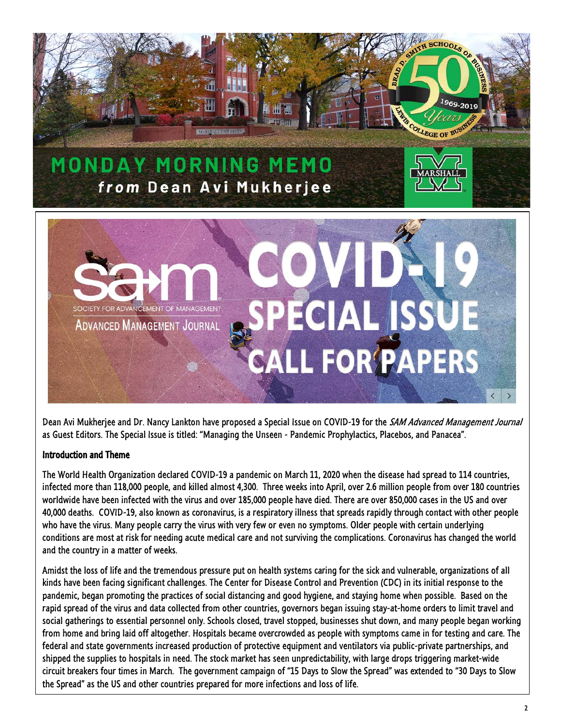

Dean Avi Mukherjee and Dr. Nancy Lankton have proposed a Special Issue on COVID-19 for the SAM Advanced Management Journal as Guest Editors. The Special Issue is titled: "Managing the Unseen - Pandemic Prophylactics, Placebos, and Panacea".

### Introduction and Theme

The World Health Organization declared COVID-19 a pandemic on March 11, 2020 when the disease had spread to 114 countries, infected more than 118,000 people, and killed almost 4,300. Three weeks into April, over 2.6 million people from over 180 countries worldwide have been infected with the virus and over 185,000 people have died. There are over 850,000 cases in the US and over 40,000 deaths. COVID-19, also known as coronavirus, is a respiratory illness that spreads rapidly through contact with other people who have the virus. Many people carry the virus with very few or even no symptoms. Older people with certain underlying conditions are most at risk for needing acute medical care and not surviving the complications. Coronavirus has changed the world and the country in a matter of weeks.

Amidst the loss of life and the tremendous pressure put on health systems caring for the sick and vulnerable, organizations of all kinds have been facing significant challenges. The Center for Disease Control and Prevention (CDC) in its initial response to the pandemic, began promoting the practices of social distancing and good hygiene, and staying home when possible. Based on the rapid spread of the virus and data collected from other countries, governors began issuing stay-at-home orders to limit travel and social gatherings to essential personnel only. Schools closed, travel stopped, businesses shut down, and many people began working from home and bring laid off altogether. Hospitals became overcrowded as people with symptoms came in for testing and care. The federal and state governments increased production of protective equipment and ventilators via public-private partnerships, and shipped the supplies to hospitals in need. The stock market has seen unpredictability, with large drops triggering market-wide circuit breakers four times in March. The government campaign of "15 Days to Slow the Spread" was extended to "30 Days to Slow the Spread" as the US and other countries prepared for more infections and loss of life.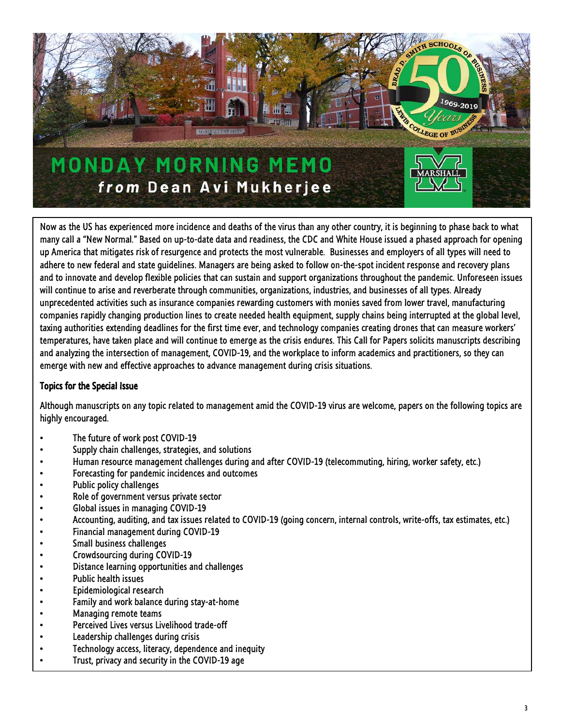

Now as the US has experienced more incidence and deaths of the virus than any other country, it is beginning to phase back to what many call a "New Normal." Based on up-to-date data and readiness, the CDC and White House issued a phased approach for opening up America that mitigates risk of resurgence and protects the most vulnerable. Businesses and employers of all types will need to adhere to new federal and state guidelines. Managers are being asked to follow on-the-spot incident response and recovery plans and to innovate and develop flexible policies that can sustain and support organizations throughout the pandemic. Unforeseen issues will continue to arise and reverberate through communities, organizations, industries, and businesses of all types. Already unprecedented activities such as insurance companies rewarding customers with monies saved from lower travel, manufacturing companies rapidly changing production lines to create needed health equipment, supply chains being interrupted at the global level, taxing authorities extending deadlines for the first time ever, and technology companies creating drones that can measure workers' temperatures, have taken place and will continue to emerge as the crisis endures. This Call for Papers solicits manuscripts describing and analyzing the intersection of management, COVID-19, and the workplace to inform academics and practitioners, so they can emerge with new and effective approaches to advance management during crisis situations.

## Topics for the Special Issue

Although manuscripts on any topic related to management amid the COVID-19 virus are welcome, papers on the following topics are highly encouraged.

- The future of work post COVID-19
- Supply chain challenges, strategies, and solutions
- Human resource management challenges during and after COVID-19 (telecommuting, hiring, worker safety, etc.)
- Forecasting for pandemic incidences and outcomes
- Public policy challenges
- Role of government versus private sector
- Global issues in managing COVID-19
- Accounting, auditing, and tax issues related to COVID-19 (going concern, internal controls, write-offs, tax estimates, etc.)
- Financial management during COVID-19
- Small business challenges
- Crowdsourcing during COVID-19
- Distance learning opportunities and challenges
- Public health issues
- Epidemiological research
- Family and work balance during stay-at-home
- Managing remote teams
- Perceived Lives versus Livelihood trade-off
- Leadership challenges during crisis
- Technology access, literacy, dependence and inequity
- Trust, privacy and security in the COVID-19 age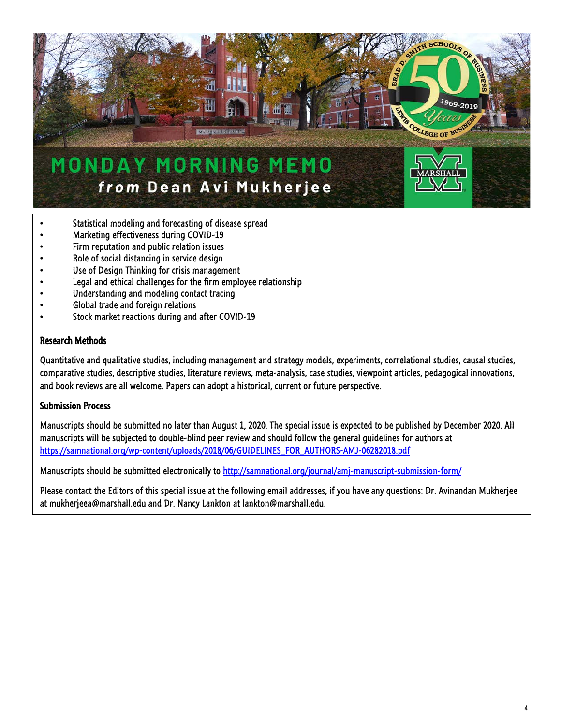

- Statistical modeling and forecasting of disease spread
- Marketing effectiveness during COVID-19
- Firm reputation and public relation issues
- Role of social distancing in service design
- Use of Design Thinking for crisis management
- Legal and ethical challenges for the firm employee relationship
- Understanding and modeling contact tracing
- Global trade and foreign relations
- Stock market reactions during and after COVID-19

#### Research Methods

Quantitative and qualitative studies, including management and strategy models, experiments, correlational studies, causal studies, comparative studies, descriptive studies, literature reviews, meta-analysis, case studies, viewpoint articles, pedagogical innovations, and book reviews are all welcome. Papers can adopt a historical, current or future perspective.

#### Submission Process

Manuscripts should be submitted no later than August 1, 2020. The special issue is expected to be published by December 2020. All manuscripts will be subjected to double-blind peer review and should follow the general guidelines for authors at [https://samnational.org/wp-content/uploads/2018/06/GUIDELINES\\_FOR\\_AUTHORS-AMJ-06282018.pdf](https://samnational.org/wp-content/uploads/2018/06/GUIDELINES_FOR_AUTHORS-AMJ-06282018.pdf)

Manuscripts should be submitted electronically to<http://samnational.org/journal/amj-manuscript-submission-form/>

Please contact the Editors of this special issue at the following email addresses, if you have any questions: Dr. Avinandan Mukherjee at mukherjeea@marshall.edu and Dr. Nancy Lankton at lankton@marshall.edu.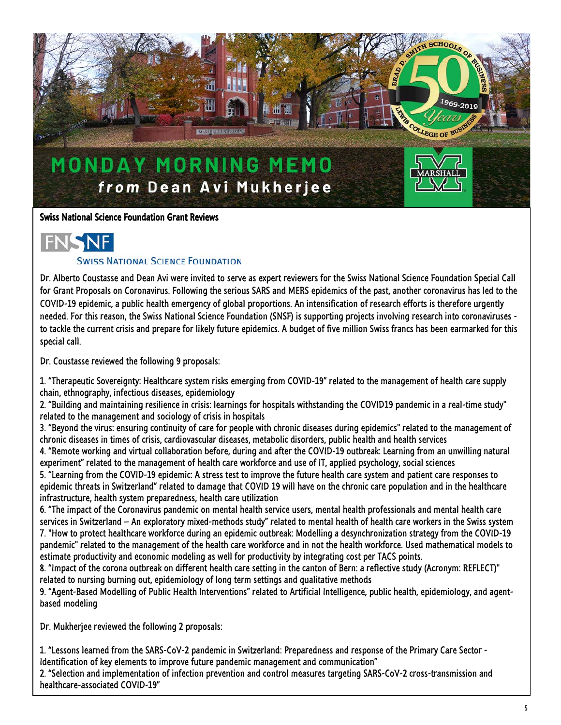

#### Swiss National Science Foundation Grant Reviews



#### **SWISS NATIONAL SCIENCE FOUNDATION**

Dr. Alberto Coustasse and Dean Avi were invited to serve as expert reviewers for the Swiss National Science Foundation Special Call for Grant Proposals on Coronavirus. Following the serious SARS and MERS epidemics of the past, another coronavirus has led to the COVID-19 epidemic, a public health emergency of global proportions. An intensification of research efforts is therefore urgently needed. For this reason, the Swiss National Science Foundation (SNSF) is supporting projects involving research into coronaviruses to tackle the current crisis and prepare for likely future epidemics. A budget of five million Swiss francs has been earmarked for this special call.

Dr. Coustasse reviewed the following 9 proposals:

1. "Therapeutic Sovereignty: Healthcare system risks emerging from COVID-19" related to the management of health care supply chain, ethnography, infectious diseases, epidemiology

2. "Building and maintaining resilience in crisis: learnings for hospitals withstanding the COVID19 pandemic in a real-time study" related to the management and sociology of crisis in hospitals

3. "Beyond the virus: ensuring continuity of care for people with chronic diseases during epidemics" related to the management of chronic diseases in times of crisis, cardiovascular diseases, metabolic disorders, public health and health services

4. "Remote working and virtual collaboration before, during and after the COVID-19 outbreak: Learning from an unwilling natural experiment" related to the management of health care workforce and use of IT, applied psychology, social sciences

5. "Learning from the COVID-19 epidemic: A stress test to improve the future health care system and patient care responses to epidemic threats in Switzerland" related to damage that COVID 19 will have on the chronic care population and in the healthcare infrastructure, health system preparedness, health care utilization

6. "The impact of the Coronavirus pandemic on mental health service users, mental health professionals and mental health care services in Switzerland – An exploratory mixed-methods study" related to mental health of health care workers in the Swiss system 7. "How to protect healthcare workforce during an epidemic outbreak: Modelling a desynchronization strategy from the COVID-19 pandemic" related to the management of the health care workforce and in not the health workforce. Used mathematical models to estimate productivity and economic modeling as well for productivity by integrating cost per TACS points.

8. "Impact of the corona outbreak on different health care setting in the canton of Bern: a reflective study (Acronym: REFLECT)" related to nursing burning out, epidemiology of long term settings and qualitative methods

9. "Agent-Based Modelling of Public Health Interventions" related to Artificial Intelligence, public health, epidemiology, and agentbased modeling

Dr. Mukherjee reviewed the following 2 proposals:

1. "Lessons learned from the SARS-CoV-2 pandemic in Switzerland: Preparedness and response of the Primary Care Sector - Identification of key elements to improve future pandemic management and communication"

2. "Selection and implementation of infection prevention and control measures targeting SARS-CoV-2 cross-transmission and healthcare-associated COVID-19"